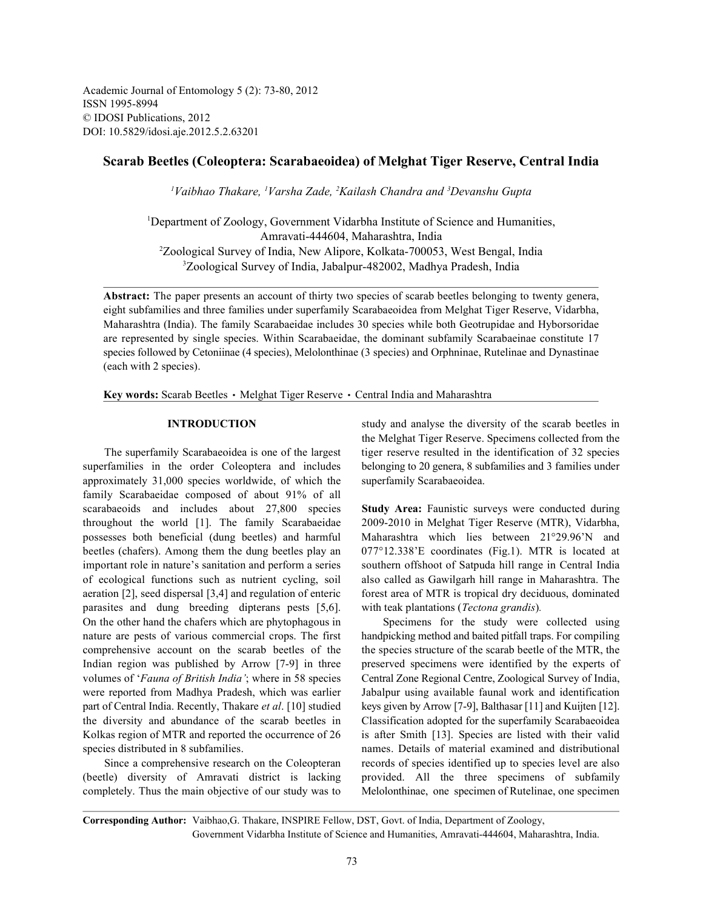Academic Journal of Entomology 5 (2): 73-80, 2012 ISSN 1995-8994 © IDOSI Publications, 2012 DOI: 10.5829/idosi.aje.2012.5.2.63201

# **Scarab Beetles (Coleoptera: Scarabaeoidea) of Melghat Tiger Reserve, Central India**

<sup>1</sup>Vaibhao Thakare, <sup>1</sup>Varsha Zade, <sup>2</sup>Kailash Chandra and <sup>3</sup>Devanshu Gupta

<sup>1</sup>Department of Zoology, Government Vidarbha Institute of Science and Humanities, Amravati-444604, Maharashtra, India <sup>2</sup>Zoological Survey of India, New Alipore, Kolkata-700053, West Bengal, India <sup>3</sup>Zoological Survey of India, Jabalpur-482002, Madhya Pradesh, India

**Abstract:** The paper presents an account of thirty two species of scarab beetles belonging to twenty genera, eight subfamilies and three families under superfamily Scarabaeoidea from Melghat Tiger Reserve, Vidarbha, Maharashtra (India). The family Scarabaeidae includes 30 species while both Geotrupidae and Hyborsoridae are represented by single species. Within Scarabaeidae, the dominant subfamily Scarabaeinae constitute 17 species followed by Cetoniinae (4 species), Melolonthinae (3 species) and Orphninae, Rutelinae and Dynastinae (each with 2 species).

Key words: Scarab Beetles · Melghat Tiger Reserve · Central India and Maharashtra

superfamilies in the order Coleoptera and includes belonging to 20 genera, 8 subfamilies and 3 families under approximately 31,000 species worldwide, of which the superfamily Scarabaeoidea. family Scarabaeidae composed of about 91% of all scarabaeoids and includes about 27,800 species **Study Area:** Faunistic surveys were conducted during throughout the world [1]. The family Scarabaeidae 2009-2010 in Melghat Tiger Reserve (MTR), Vidarbha, possesses both beneficial (dung beetles) and harmful Maharashtra which lies between 21°29.96'N and beetles (chafers). Among them the dung beetles play an 077°12.338'E coordinates (Fig.1). MTR is located at important role in nature's sanitation and perform a series southern offshoot of Satpuda hill range in Central India of ecological functions such as nutrient cycling, soil also called as Gawilgarh hill range in Maharashtra. The aeration [2], seed dispersal [3,4] and regulation of enteric forest area of MTR is tropical dry deciduous, dominated parasites and dung breeding dipterans pests [5,6]. with teak plantations (*Tectona grandis*)*.* On the other hand the chafers which are phytophagous in Specimens for the study were collected using nature are pests of various commercial crops. The first handpicking method and baited pitfall traps. For compiling comprehensive account on the scarab beetles of the the species structure of the scarab beetle of the MTR, the Indian region was published by Arrow [7-9] in three preserved specimens were identified by the experts of volumes of '*Fauna of British India'*; where in 58 species Central Zone Regional Centre, Zoological Survey of India, were reported from Madhya Pradesh, which was earlier Jabalpur using available faunal work and identification part of Central India. Recently, Thakare *et al*. [10] studied keys given by Arrow [7-9], Balthasar [11] and Kuijten [12]. the diversity and abundance of the scarab beetles in Classification adopted for the superfamily Scarabaeoidea Kolkas region of MTR and reported the occurrence of 26 is after Smith [13]. Species are listed with their valid species distributed in 8 subfamilies. The mames. Details of material examined and distributional

(beetle) diversity of Amravati district is lacking provided. All the three specimens of subfamily completely. Thus the main objective of our study was to Melolonthinae, one specimen of Rutelinae, one specimen

**INTRODUCTION** study and analyse the diversity of the scarab beetles in The superfamily Scarabaeoidea is one of the largest tiger reserve resulted in the identification of 32 species the Melghat Tiger Reserve. Specimens collected from the

Since a comprehensive research on the Coleopteran records of species identified up to species level are also

**Corresponding Author:** Vaibhao,G. Thakare, INSPIRE Fellow, DST, Govt. of India, Department of Zoology, Government Vidarbha Institute of Science and Humanities, Amravati-444604, Maharashtra, India.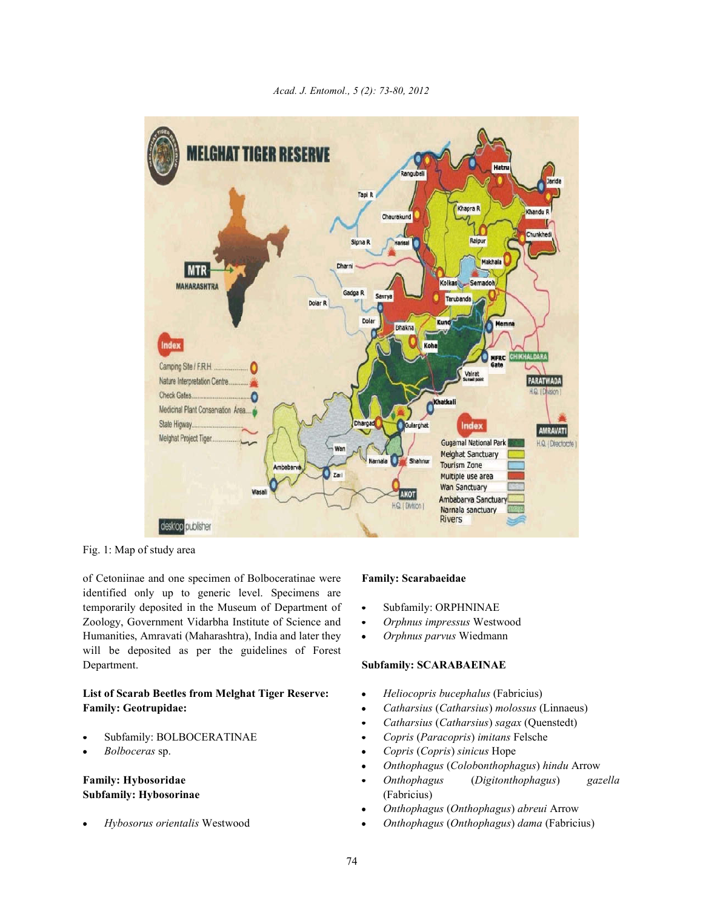

*Acad. J. Entomol., 5 (2): 73-80, 2012*

Fig. 1: Map of study area

of Cetoniinae and one specimen of Bolboceratinae were **Family: Scarabaeidae**  identified only up to generic level. Specimens are temporarily deposited in the Museum of Department of • Subfamily: ORPHNINAE Zoology, Government Vidarbha Institute of Science and **·** Orphnus impressus Westwood Humanities, Amravati (Maharashtra), India and later they *• Orphnus parvus* Wiedmann will be deposited as per the guidelines of Forest Department. **Subfamily: SCARABAEINAE**

# **List of Scarab Beetles from Melghat Tiger Reserve:** *Heliocopris bucephalus* (Fabricius) **Family: Geotrupidae:** *Catharsius* (*Catharsius*) *molossus* (Linnaeus)

- 
- 

# **Subfamily: Hybosorinae** (Fabricius)

- 
- 
- 

- 
- 
- *Catharsius* (*Catharsius*) *sagax* (Quenstedt)
- Subfamily: BOLBOCERATINAE *Copris* (*Paracopris*) *imitans* Felsche
- *Bolboceras* sp. *Copris* (*Copris*) *sinicus* Hope
	- *Onthophagus* (*Colob*o*nthophagus*) *hindu* Arrow
- **Family: Hybosoridae** *Onthophagus* (*Digitonthophagus*) *gazella*
	- *Onthophagus* (*Onthophagus*) *abreui* Arrow
	- *Hybosorus orientalis* Westwood *Onthophagus* (*Onthophagus*) *dama* (Fabricius)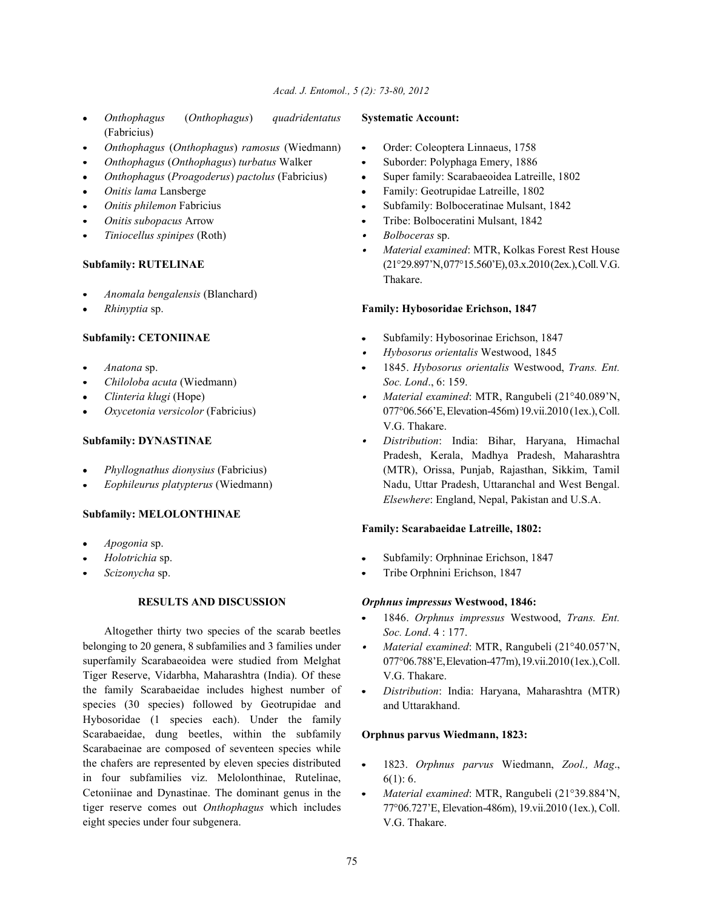- *Onthophagus* (*Onthophagus*) *quadridentatus* **Systematic Account:** (Fabricius)
- *Onthophagus* (*Onthophagus*) *ramosus* (Wiedmann) Order: Coleoptera Linnaeus, 1758
- *Onthophagus* (*Onthophagus*) *turbatus* Walker Suborder: Polyphaga Emery, 1886
- *Onthophagus* (*Proagoderus*) *pactolus* (Fabricius) Super family: Scarabaeoidea Latreille, 1802
- 
- 
- 
- *Tiniocellus spinipes* (Roth) **a** *Bolboceras* sp.

- *Anomala bengalensis* (Blanchard)
- 

- 
- *Chiloloba acuta* (Wiedmann) *Soc. Lond*., 6: 159.
- 
- 

- 
- 

### **Subfamily: MELOLONTHINAE**

- *Apogonia* sp.
- 
- 

Altogether thirty two species of the scarab beetles belonging to 20 genera, 8 subfamilies and 3 families under superfamily Scarabaeoidea were studied from Melghat Tiger Reserve, Vidarbha, Maharashtra (India). Of these the family Scarabaeidae includes highest number of species (30 species) followed by Geotrupidae and Hybosoridae (1 species each). Under the family Scarabaeidae, dung beetles, within the subfamily Scarabaeinae are composed of seventeen species while the chafers are represented by eleven species distributed in four subfamilies viz. Melolonthinae, Rutelinae, Cetoniinae and Dynastinae. The dominant genus in the tiger reserve comes out *Onthophagus* which includes eight species under four subgenera.

- 
- 
- 
- *Onitis lama* Lansberge **Family: Geotrupidae Latreille, 1802 Family: Geotrupidae Latreille, 1802**
- *Onitis philemon Fabricius* **Subfamily: Bolboceratinae Mulsant, 1842 Subfamily: Bolboceratinae Mulsant, 1842**
- *Onitis subopacus* Arrow **Conitis Subopacus** Arrow **Conitis Subopacus** Arrow **Conitis Subopacus** Arrow **Conserved Arrow** 
	-
- **Subfamily: RUTELINAE** (21°29.897'N,077°15.560'E), 03.x.2010 (2ex.), Coll. V.G. *Material examined*: MTR, Kolkas Forest Rest House Thakare.

# *Rhinyptia* sp. **Family: Hybosoridae Erichson, 1847**

- **Subfamily: CETONIINAE** Subfamily: Hybosorinae Erichson, 1847
	- *Hybosorus orientalis* Westwood, 1845
	- *Anatona* sp. 1845. *Hybosorus orientalis* Westwood, *Trans. Ent.*
	- *Clinteria klugi* (Hope) *Material examined*: MTR, Rangubeli (21°40.089'N, *Oxycetonia versicolor* (Fabricius) 077°06.566'E, Elevation-456m) 19.vii.2010 (1ex.), Coll. V.G. Thakare.
- **Subfamily: DYNASTINAE** *Distribution*: India: Bihar, Haryana, Himachal *Phyllognathus dionysius* (Fabricius) (MTR), Orissa, Punjab, Rajasthan, Sikkim, Tamil *Eophileurus platypterus* (Wiedmann) Nadu, Uttar Pradesh, Uttaranchal and West Bengal. Pradesh, Kerala, Madhya Pradesh, Maharashtra *Elsewhere*: England, Nepal, Pakistan and U.S.A.

### **Family: Scarabaeidae Latreille, 1802:**

- *Holotrichia* sp.  $\bullet$  Subfamily: Orphninae Erichson, 1847
- *Scizonycha* sp. Tribe Orphnini Erichson, 1847

### **RESULTS AND DISCUSSION** *Orphnus impressus* **Westwood, 1846:**

- 1846. *Orphnus impressus* Westwood, *Trans. Ent. Soc. Lond*. 4 : 177.
- *Material examined*: MTR, Rangubeli (21°40.057'N, 077°06.788'E, Elevation-477m),19.vii.2010 (1ex.), Coll. V.G. Thakare.
- *Distribution*: India: Haryana, Maharashtra (MTR) and Uttarakhand.

### **Orphnus parvus Wiedmann, 1823:**

- 1823. *Orphnus parvus* Wiedmann, *Zool., Mag*.,  $\bullet$  $6(1): 6.$
- *Material examined*: MTR, Rangubeli (21°39.884'N, 77°06.727'E, Elevation-486m), 19.vii.2010 (1ex.), Coll. V.G. Thakare.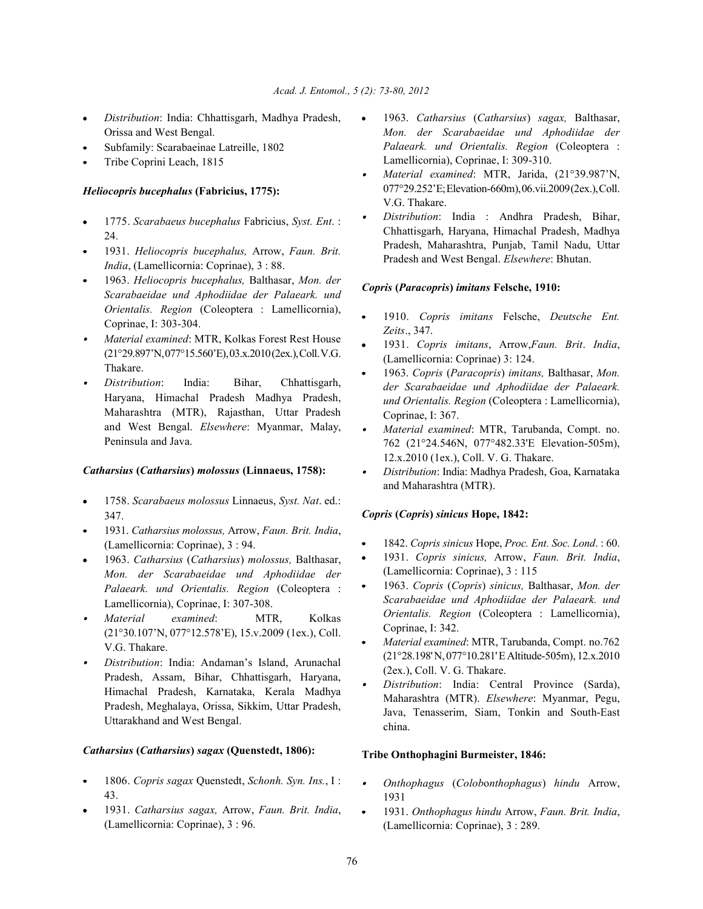- Orissa and West Bengal.
- Subfamily: Scarabaeinae Latreille, 1802
- Tribe Coprini Leach, 1815

### *Heliocopris bucephalus* **(Fabricius, 1775):**

- 1775. *Scarabaeus bucephalus* Fabricius, *Syst. Ent*. : 24.
- 1931. *Heliocopris bucephalus,* Arrow, *Faun. Brit. India*, (Lamellicornia: Coprinae), 3 : 88.
- 1963. *Heliocopris bucephalus,* Balthasar, *Mon. der Scarabaeidae und Aphodiidae der Palaeark. und Orientalis. Region* (Coleoptera : Lamellicornia), Coprinae, I: 303-304.
- *Material examined*: MTR, Kolkas Forest Rest House (21°29.897'N,077°15.560'E), 03.x.2010 (2ex.), Coll. V.G. Thakare.
- *Distribution*: India: Bihar, Chhattisgarh, Haryana, Himachal Pradesh Madhya Pradesh, Maharashtra (MTR), Rajasthan, Uttar Pradesh and West Bengal. *Elsewhere*: Myanmar, Malay, Peninsula and Java.

### *Catharsius* **(***Catharsius***)** *molossus* **(Linnaeus, 1758):**

- 1758. *Scarabaeus molossus* Linnaeus, *Syst. Nat*. ed.: 347.
- 1931. *Catharsius molossus,* Arrow, *Faun. Brit. India*, (Lamellicornia: Coprinae), 3 : 94.
- 1963. *Catharsius* (*Catharsius*) *molossus,* Balthasar, *Mon. der Scarabaeidae und Aphodiidae der Palaeark. und Orientalis. Region* (Coleoptera : Lamellicornia), Coprinae, I: 307-308.
- *Material examined*: MTR, Kolkas (21°30.107'N, 077°12.578'E), 15.v.2009 (1ex.), Coll. V.G. Thakare.
- *Distribution*: India: Andaman's Island, Arunachal Pradesh, Assam, Bihar, Chhattisgarh, Haryana, Himachal Pradesh, Karnataka, Kerala Madhya Pradesh, Meghalaya, Orissa, Sikkim, Uttar Pradesh, Uttarakhand and West Bengal.

### *Catharsius* **(***Catharsius***)** *sagax* **(Quenstedt, 1806):**

- 1806. *Copris sagax* Quenstedt, *Schonh. Syn. Ins.*, I : 43.
- 1931. *Catharsius sagax,* Arrow, *Faun. Brit. India*, (Lamellicornia: Coprinae), 3 : 96.
- *Distribution*: India: Chhattisgarh, Madhya Pradesh, 1963. *Catharsius* (*Catharsius*) *sagax,* Balthasar, *Mon. der Scarabaeidae und Aphodiidae der Palaeark. und Orientalis. Region* (Coleoptera : Lamellicornia), Coprinae, I: 309-310.
	- *Material examined*: MTR, Jarida, (21°39.987'N, 077°29.252'E;Elevation-660m), 06.vii.2009 (2ex.), Coll. V.G. Thakare.
	- *Distribution*: India : Andhra Pradesh, Bihar, Chhattisgarh, Haryana, Himachal Pradesh, Madhya Pradesh, Maharashtra, Punjab, Tamil Nadu, Uttar Pradesh and West Bengal. *Elsewhere*: Bhutan.

#### *Copris* **(***Paracopris***)** *imitans* **Felsche, 1910:**

- 1910. *Copris imitans* Felsche, *Deutsche Ent. Zeits*., 347.
- 1931. *Copris imitans*, Arrow,*Faun. Brit*. *India*, (Lamellicornia: Coprinae) 3: 124.
- 1963. *Copris* (*Paracopris*) *imitans,* Balthasar, *Mon. der Scarabaeidae und Aphodiidae der Palaeark. und Orientalis. Region* (Coleoptera : Lamellicornia), Coprinae, I: 367.
- *Material examined*: MTR, Tarubanda, Compt. no. 762 (21°24.546N, 077°482.33'E Elevation-505m), 12.x.2010 (1ex.), Coll. V. G. Thakare.
- *Distribution*: India: Madhya Pradesh, Goa, Karnataka and Maharashtra (MTR).

### *Copris* **(***Copris***)** *sinicus* **Hope, 1842:**

- 1842. *Copris sinicus* Hope, *Proc. Ent. Soc. Lond*. : 60.
- 1931. *Copris sinicus,* Arrow, *Faun. Brit. India*, (Lamellicornia: Coprinae), 3 : 115
- 1963. *Copris* (*Copris*) *sinicus,* Balthasar, *Mon. der Scarabaeidae und Aphodiidae der Palaeark. und Orientalis. Region* (Coleoptera : Lamellicornia), Coprinae, I: 342.
- *Material examined*: MTR, Tarubanda, Compt. no.762 (21°28.198' N, 077°10.281' E Altitude-505m), 12.x.2010 (2ex.), Coll. V. G. Thakare.
- *Distribution*: India: Central Province (Sarda), Maharashtra (MTR). *Elsewhere*: Myanmar, Pegu, Java, Tenasserim, Siam, Tonkin and South-East china.

#### **Tribe Onthophagini Burmeister, 1846:**

- $\bullet$ *Onthophagus* (*Colob*o*nthophagus*) *hindu* Arrow, 1931
- 1931. *Onthophagus hindu* Arrow, *Faun. Brit. India*, (Lamellicornia: Coprinae), 3 : 289.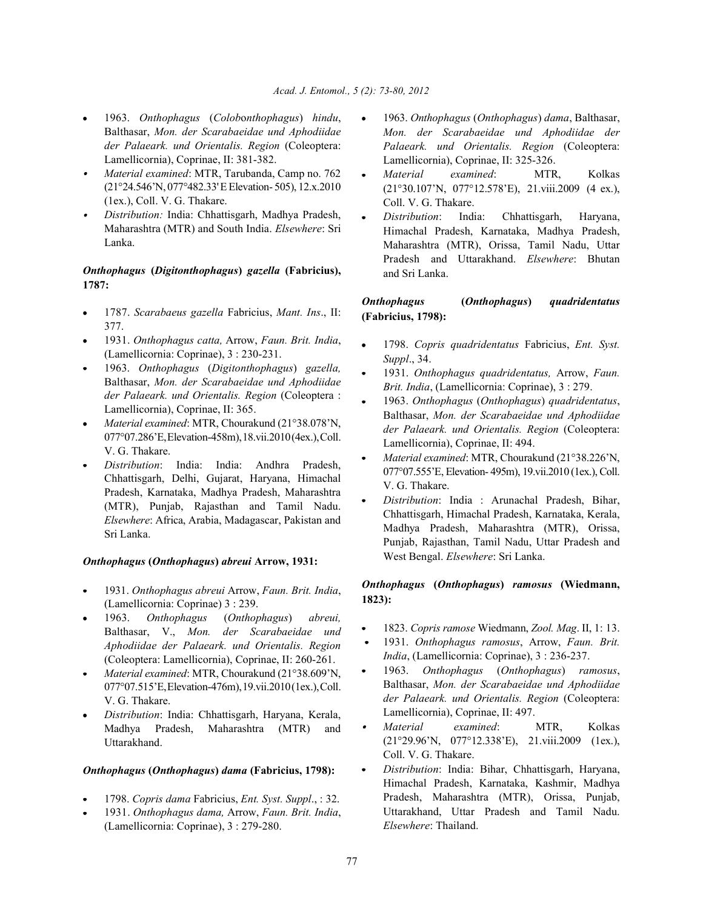- Balthasar, *Mon. der Scarabaeidae und Aphodiidae der Palaeark. und Orientalis. Region* (Coleoptera: Lamellicornia), Coprinae, II: 381-382.
- *Material examined*: MTR, Tarubanda, Camp no. 762 (21°24.546'N, 077°482.33' E Elevation- 505), 12.x.2010 (1ex.), Coll. V. G. Thakare.
- *Distribution:* India: Chhattisgarh, Madhya Pradesh, Maharashtra (MTR) and South India. *Elsewhere*: Sri Lanka.

# *Onthophagus* **(***Digitonthophagus***)** *gazella* **(Fabricius), 1787:**

- 1787. *Scarabaeus gazella* Fabricius, *Mant. Ins*., II: 377.
- 1931. *Onthophagus catta,* Arrow, *Faun. Brit. India*, (Lamellicornia: Coprinae), 3 : 230-231.
- 1963. *Onthophagus* (*Digitonthophagus*) *gazella,* Balthasar, *Mon. der Scarabaeidae und Aphodiidae der Palaeark. und Orientalis. Region* (Coleoptera : Lamellicornia), Coprinae, II: 365.
- *Material examined*: MTR, Chourakund (21°38.078'N, 077°07.286'E, Elevation-458m),18.vii.2010 (4ex.), Coll. V. G. Thakare.
- *Distribution*: India: India: Andhra Pradesh, Chhattisgarh, Delhi, Gujarat, Haryana, Himachal Pradesh, Karnataka, Madhya Pradesh, Maharashtra (MTR), Punjab, Rajasthan and Tamil Nadu. *Elsewhere*: Africa, Arabia, Madagascar, Pakistan and Sri Lanka.

#### *Onthophagus* **(***Onthophagus***)** *abreui* **Arrow, 1931:**

- 1931. *Onthophagus abreui* Arrow, *Faun. Brit. India*, (Lamellicornia: Coprinae) 3 : 239.
- 1963. *Onthophagus* (*Onthophagus*) *abreui,* Balthasar, V., *Mon. der Scarabaeidae und Aphodiidae der Palaeark. und Orientalis. Region* (Coleoptera: Lamellicornia), Coprinae, II: 260-261.
- *Material examined*: MTR, Chourakund (21°38.609'N, 077°07.515'E, Elevation-476m),19.vii.2010 (1ex.), Coll. V. G. Thakare.
- *Distribution*: India: Chhattisgarh, Haryana, Kerala, Madhya Pradesh, Maharashtra (MTR) and Uttarakhand.

# *Onthophagus* **(***Onthophagus***)** *dama* **(Fabricius, 1798):**

- 1798. *Copris dama* Fabricius, *Ent. Syst. Suppl*., : 32.
- 1931. *Onthophagus dama,* Arrow, *Faun. Brit. India*, (Lamellicornia: Coprinae), 3 : 279-280.
- 1963. *Onthophagus* (*Colob*o*nthophagus*) *hindu*, 1963. *Onthophagus* (*Onthophagus*) *dama*, Balthasar, *Mon. der Scarabaeidae und Aphodiidae der Palaeark. und Orientalis. Region* (Coleoptera: Lamellicornia), Coprinae, II: 325-326.
	- *Material examined*: MTR, Kolkas (21°30.107'N, 077°12.578'E), 21.viii.2009 (4 ex.), Coll. V. G. Thakare.
	- *Distribution*: India: Chhattisgarh, Haryana, Himachal Pradesh, Karnataka, Madhya Pradesh, Maharashtra (MTR), Orissa, Tamil Nadu, Uttar Pradesh and Uttarakhand. *Elsewhere*: Bhutan and Sri Lanka.

# *Onthophagus* **(***Onthophagus***)** *quadridentatus* **(Fabricius, 1798):**

- 1798. *Copris quadridentatus* Fabricius, *Ent. Syst. Suppl*., 34.
- 1931. *Onthophagus quadridentatus,* Arrow, *Faun. Brit. India*, (Lamellicornia: Coprinae), 3 : 279.
- 1963. *Onthophagus* (*Onthophagus*) *quadridentatus*,  $\bullet$ Balthasar, *Mon. der Scarabaeidae und Aphodiidae der Palaeark. und Orientalis. Region* (Coleoptera: Lamellicornia), Coprinae, II: 494.
- *Material examined*: MTR, Chourakund (21°38.226'N, 077°07.555'E, Elevation- 495m), 19.vii.2010 (1ex.), Coll. V. G. Thakare.
- *Distribution*: India : Arunachal Pradesh, Bihar, Chhattisgarh, Himachal Pradesh, Karnataka, Kerala, Madhya Pradesh, Maharashtra (MTR), Orissa, Punjab, Rajasthan, Tamil Nadu, Uttar Pradesh and West Bengal. *Elsewhere*: Sri Lanka.

# *Onthophagus* **(***Onthophagus***)** *ramosus* **(Wiedmann, 1823):**

- 1823. *Copris ramose* Wiedmann, *Zool. Mag*. II, 1: 13.
- 1931. *Onthophagus ramosus*, Arrow, *Faun. Brit. India*, (Lamellicornia: Coprinae), 3 : 236-237.
- 1963. *Onthophagus* (*Onthophagus*) *ramosus*, Balthasar, *Mon. der Scarabaeidae und Aphodiidae der Palaeark. und Orientalis. Region* (Coleoptera: Lamellicornia), Coprinae, II: 497.
- *Material examined*: MTR, Kolkas (21°29.96'N, 077°12.338'E), 21.viii.2009 (1ex.), Coll. V. G. Thakare.
- *Distribution*: India: Bihar, Chhattisgarh, Haryana, Himachal Pradesh, Karnataka, Kashmir, Madhya Pradesh, Maharashtra (MTR), Orissa, Punjab, Uttarakhand, Uttar Pradesh and Tamil Nadu. *Elsewhere*: Thailand.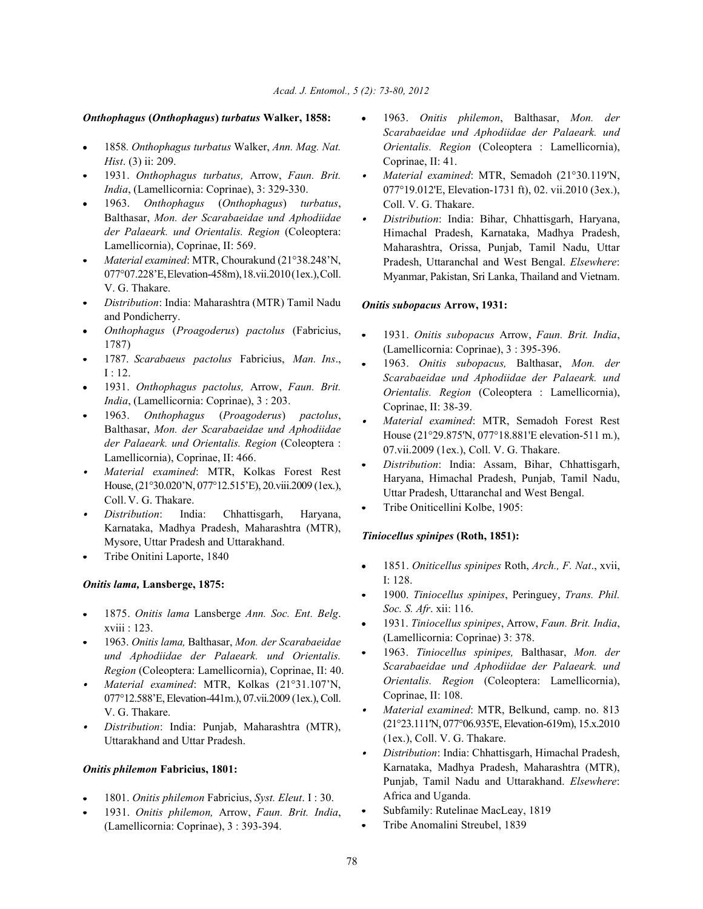### *Onthophagus* **(***Onthophagus***)** *turbatus* **Walker, 1858:** 1963. *Onitis philemon*, Balthasar, *Mon. der*

- 1858*. Onthophagus turbatus* Walker, *Ann. Mag. Nat. Hist*. (3) ii: 209. Coprinae, II: 41.
- 1931. *Onthophagus turbatus,* Arrow, *Faun. Brit. India*, (Lamellicornia: Coprinae), 3: 329-330.
- 1963. *Onthophagus* (*Onthophagus*) *turbatus*, Balthasar, *Mon. der Scarabaeidae und Aphodiidae der Palaeark. und Orientalis. Region* (Coleoptera: Lamellicornia), Coprinae, II: 569.
- *Material examined*: MTR, Chourakund (21°38.248'N, 077°07.228'E, Elevation-458m),18.vii.2010 (1ex.), Coll. V. G. Thakare.
- *Distribution*: India: Maharashtra (MTR) Tamil Nadu and Pondicherry.
- *Onthophagus* (*Proagoderus*) *pactolus* (Fabricius, 1787)
- 1787. *Scarabaeus pactolus* Fabricius, *Man. Ins*., I : 12.
- 1931. *Onthophagus pactolus,* Arrow, *Faun. Brit. India*, (Lamellicornia: Coprinae), 3 : 203.
- 1963. *Onthophagus* (*Proagoderus*) *pactolus*, Balthasar, *Mon. der Scarabaeidae und Aphodiidae der Palaeark. und Orientalis. Region* (Coleoptera : Lamellicornia), Coprinae, II: 466.
- *Material examined*: MTR, Kolkas Forest Rest House, (21°30.020'N, 077°12.515'E), 20.viii.2009 (1ex.), Coll. V. G. Thakare.
- *Distribution*: India: Chhattisgarh, Haryana, Karnataka, Madhya Pradesh, Maharashtra (MTR), Mysore, Uttar Pradesh and Uttarakhand.
- Tribe Onitini Laporte, 1840

### *Onitis lama,* **Lansberge, 1875:**

- 1875. *Onitis lama* Lansberge *Ann. Soc. Ent. Belg*. xviii : 123.
- 1963. *Onitis lama,* Balthasar, *Mon. der Scarabaeidae und Aphodiidae der Palaeark. und Orientalis. Region* (Coleoptera: Lamellicornia), Coprinae, II: 40.
- *Material examined*: MTR, Kolkas (21°31.107'N, 077°12.588'E, Elevation-441m.), 07.vii.2009 (1ex.), Coll. V. G. Thakare.
- *Distribution*: India: Punjab, Maharashtra (MTR), Uttarakhand and Uttar Pradesh.

### *Onitis philemon* **Fabricius, 1801:**

- 1801. *Onitis philemon* Fabricius, *Syst. Eleut*. I : 30.
- 1931. *Onitis philemon,* Arrow, *Faun. Brit. India*, (Lamellicornia: Coprinae), 3 : 393-394.
- *Scarabaeidae und Aphodiidae der Palaeark. und Orientalis. Region* (Coleoptera : Lamellicornia),
- *Material examined*: MTR, Semadoh (21°30.119'N, 077°19.012'E, Elevation-1731 ft), 02. vii.2010 (3ex.), Coll. V. G. Thakare.
- *Distribution*: India: Bihar, Chhattisgarh, Haryana,  $\bullet$ Himachal Pradesh, Karnataka, Madhya Pradesh, Maharashtra, Orissa, Punjab, Tamil Nadu, Uttar Pradesh, Uttaranchal and West Bengal. *Elsewhere*: Myanmar, Pakistan, Sri Lanka, Thailand and Vietnam.

### *Onitis subopacus* **Arrow, 1931:**

- 1931. *Onitis subopacus* Arrow, *Faun. Brit. India*, (Lamellicornia: Coprinae), 3 : 395-396.
- 1963. *Onitis subopacus,* Balthasar, *Mon. der Scarabaeidae und Aphodiidae der Palaeark. und Orientalis. Region* (Coleoptera : Lamellicornia), Coprinae, II: 38-39.
- *Material examined*: MTR, Semadoh Forest Rest House (21°29.875'N, 077°18.881'E elevation-511 m.), 07.vii.2009 (1ex.), Coll. V. G. Thakare.
- *Distribution*: India: Assam, Bihar, Chhattisgarh, Haryana, Himachal Pradesh, Punjab, Tamil Nadu, Uttar Pradesh, Uttaranchal and West Bengal.
- Tribe Oniticellini Kolbe, 1905:

### *Tiniocellus spinipes* **(Roth, 1851):**

- 1851. *Oniticellus spinipes* Roth, *Arch., F. Nat*., xvii, I: 128.
- 1900. *Tiniocellus spinipes*, Peringuey, *Trans. Phil. Soc. S. Afr*. xii: 116.
- 1931. *Tiniocellus spinipes*, Arrow, *Faun. Brit. India*, (Lamellicornia: Coprinae) 3: 378.
- 1963. *Tiniocellus spinipes,* Balthasar, *Mon. der Scarabaeidae und Aphodiidae der Palaeark. und Orientalis. Region* (Coleoptera: Lamellicornia), Coprinae, II: 108.
- *Material examined*: MTR, Belkund, camp. no. 813 (21°23.111'N, 077°06.935'E, Elevation-619m), 15.x.2010 (1ex.), Coll. V. G. Thakare.
- *Distribution*: India: Chhattisgarh, Himachal Pradesh,  $\bullet$ Karnataka, Madhya Pradesh, Maharashtra (MTR), Punjab, Tamil Nadu and Uttarakhand. *Elsewhere*: Africa and Uganda.
- Subfamily: Rutelinae MacLeay, 1819
- Tribe Anomalini Streubel, 1839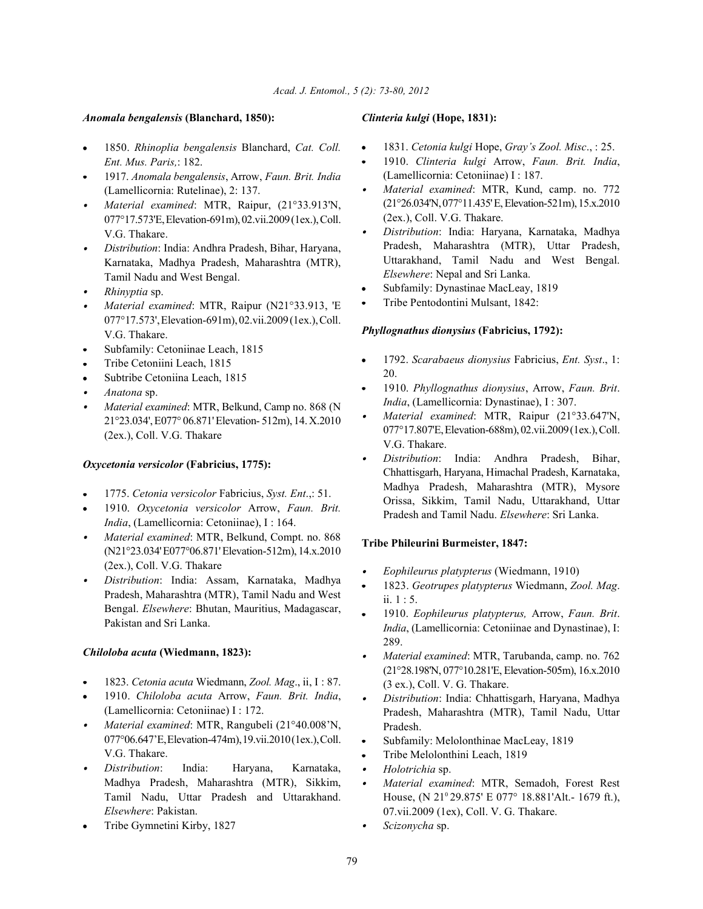# *Anomala bengalensis* **(Blanchard, 1850):** *Clinteria kulgi* **(Hope, 1831):**

- 1850. *Rhinoplia bengalensis* Blanchard, *Cat. Coll.*  $\bullet$ *Ent. Mus. Paris,*: 182.
- 1917. *Anomala bengalensis*, Arrow, *Faun. Brit. India* (Lamellicornia: Rutelinae), 2: 137.
- *Material examined*: MTR, Raipur, (21°33.913'N, 077°17.573'E,Elevation-691m), 02.vii.2009 (1ex.), Coll. V.G. Thakare.
- *Distribution*: India: Andhra Pradesh, Bihar, Haryana, Karnataka, Madhya Pradesh, Maharashtra (MTR), Tamil Nadu and West Bengal.
- *Rhinyptia* sp.
- *Material examined*: MTR, Raipur (N21°33.913, 'E 077°17.573', Elevation-691m), 02.vii.2009 (1ex.), Coll. V.G. Thakare.
- Subfamily: Cetoniinae Leach, 1815
- Tribe Cetoniini Leach, 1815
- Subtribe Cetoniina Leach, 1815
- *Anatona* sp.
- *Material examined*: MTR, Belkund, Camp no. 868 (N 21°23.034', E077° 06.871' Elevation- 512m), 14. X.2010 (2ex.), Coll. V.G. Thakare

# *Oxycetonia versicolor* **(Fabricius, 1775):**

- 1775. *Cetonia versicolor* Fabricius, *Syst. Ent*.,: 51.
- 1910. *Oxycetonia versicolor* Arrow, *Faun. Brit. India*, (Lamellicornia: Cetoniinae), I : 164.
- *Material examined*: MTR, Belkund, Compt. no. 868 (N21°23.034' E077°06.871' Elevation-512m), 14.x.2010 (2ex.), Coll. V.G. Thakare
- *Distribution*: India: Assam, Karnataka, Madhya Pradesh, Maharashtra (MTR), Tamil Nadu and West Bengal. *Elsewhere*: Bhutan, Mauritius, Madagascar, Pakistan and Sri Lanka.

# *Chiloloba acuta* **(Wiedmann, 1823):**

- 1823. *Cetonia acuta* Wiedmann, *Zool. Mag*., ii, I : 87.
- 1910. *Chiloloba acuta* Arrow, *Faun. Brit. India*, (Lamellicornia: Cetoniinae) I : 172.
- *Material examined*: MTR, Rangubeli (21°40.008'N, 077°06.647'E, Elevation-474m),19.vii.2010 (1ex.), Coll. V.G. Thakare.
- *Distribution*: India: Haryana, Karnataka, Madhya Pradesh, Maharashtra (MTR), Sikkim, Tamil Nadu, Uttar Pradesh and Uttarakhand. *Elsewhere*: Pakistan.
- Tribe Gymnetini Kirby, 1827

- 1831. *Cetonia kulgi* Hope, *Gray's Zool. Misc*., : 25.
- 1910. *Clinteria kulgi* Arrow, *Faun. Brit. India*, (Lamellicornia: Cetoniinae) I : 187.
- *Material examined*: MTR, Kund, camp. no. 772 (21°26.034'N,077°11.435' E, Elevation-521m), 15.x.2010 (2ex.), Coll. V.G. Thakare.
- *Distribution*: India: Haryana, Karnataka, Madhya Pradesh, Maharashtra (MTR), Uttar Pradesh, Uttarakhand, Tamil Nadu and West Bengal. *Elsewhere*: Nepal and Sri Lanka.
- Subfamily: Dynastinae MacLeay, 1819
- Tribe Pentodontini Mulsant, 1842:

# *Phyllognathus dionysius* **(Fabricius, 1792):**

- 1792. *Scarabaeus dionysius* Fabricius, *Ent. Syst*., 1: 20.
- 1910. *Phyllognathus dionysius*, Arrow, *Faun. Brit*. *India*, (Lamellicornia: Dynastinae), I : 307.
- *Material examined*: MTR, Raipur (21°33.647'N, 077°17.807'E,Elevation-688m), 02.vii.2009 (1ex.), Coll. V.G. Thakare.
- *Distribution*: India: Andhra Pradesh, Bihar, Chhattisgarh, Haryana, Himachal Pradesh, Karnataka, Madhya Pradesh, Maharashtra (MTR), Mysore Orissa, Sikkim, Tamil Nadu, Uttarakhand, Uttar Pradesh and Tamil Nadu. *Elsewhere*: Sri Lanka.

# **Tribe Phileurini Burmeister, 1847:**

- *Eophileurus platypterus* (Wiedmann, 1910)
- 1823. *Geotrupes platypterus* Wiedmann, *Zool. Mag*. ii. 1 : 5.
- 1910. *Eophileurus platypterus,* Arrow, *Faun. Brit*. *India*, (Lamellicornia: Cetoniinae and Dynastinae), I: 289.
- *Material examined*: MTR, Tarubanda, camp. no. 762 (21°28.198'N, 077°10.281'E, Elevation-505m), 16.x.2010 (3 ex.), Coll. V. G. Thakare.
- $\bullet$ *Distribution*: India: Chhattisgarh, Haryana, Madhya Pradesh, Maharashtra (MTR), Tamil Nadu, Uttar Pradesh.
- Subfamily: Melolonthinae MacLeay, 1819
- Tribe Melolonthini Leach, 1819
- *Holotrichia* sp.
- *Material examined*: MTR, Semadoh, Forest Rest  $\bullet$ House, (N  $21^{\circ}$  29.875' E 077° 18.881'Alt.- 1679 ft.), 07.vii.2009 (1ex), Coll. V. G. Thakare.
- *Scizonycha* sp. $\bullet$